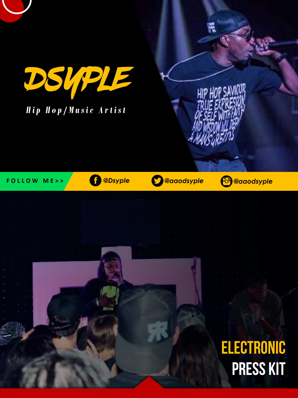

## *H i p H o p / M u s i c A r t i s t*

Ħ

HIP HOP SAVI

F O L L O W M E >> **6 3 assistance Constant Constant Constant Constant Constant Constant Constant Constant Constant Constant Constant Constant Constant Constant Constant Constant Constant Constant Constant Constant Constan** 

**ELECTRONIC PRESS KIT**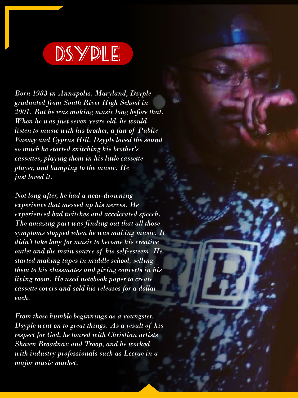

*Born 1983 in Annapolis, Maryland, Dsyple graduated from South River High School in 2001. But he was making music long before that. When he was just seven years old, he would listen to music with his brother, a fan of Public Enemy and Cyprus Hill. Dsyple loved the sound so much he started snitching his brother's cassettes, playing them in his little cassette player, and bumping to the music. He just loved it.*

*Not long after, he had a near-drowning experience that messed up his nerves. He experienced bad twitches and accelerated speech. The amazing part was finding out that all those symptoms stopped when he was making music. It didn't take long for music to become his creative outlet and the main source of his self-esteem. He started making tapes in middle school, selling them to his classmates and giving concerts in his living room. He used notebook paper to create cassette covers and sold his releases for a dollar each.*

*From these humble beginnings as a youngster, Dsyple went on to great things. As a result of his respect for God, he toured with Christian artists Shawn Broadnax and Troop, and he worked with industry professionals such as Lecrae in a major music market.*